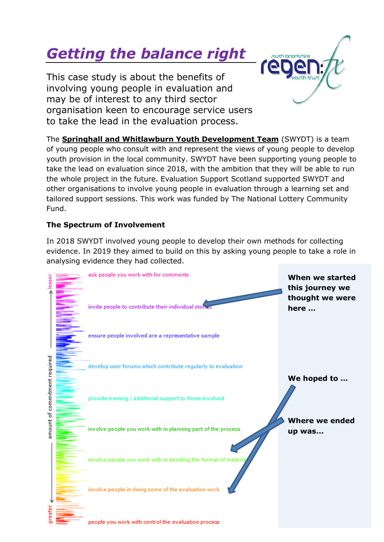# *Getting the balance right*

This case study is about the benefits of involving young people in evaluation and may be of interest to any third sector organisation keen to encourage service users to take the lead in the evaluation process.

The **Springhall and Whitlawburn Youth Development Team** (SWYDT) is a team of young people who consult with and represent the views of young people to develop youth provision in the local community. SWYDT have been supporting young people to take the lead on evaluation since 2018, with the ambition that they will be able to run the whole project in the future. Evaluation Support Scotland supported SWYDT and other organisations to involve young people in evaluation through a learning set and tailored support sessions. This work was funded by The National Lottery Community Fund.

**CUTH IODOCK Chica** 

# **The Spectrum of Involvement**

In 2018 SWYDT involved young people to develop their own methods for collecting evidence. In 2019 they aimed to build on this by asking young people to take a role in analysing evidence they had collected.

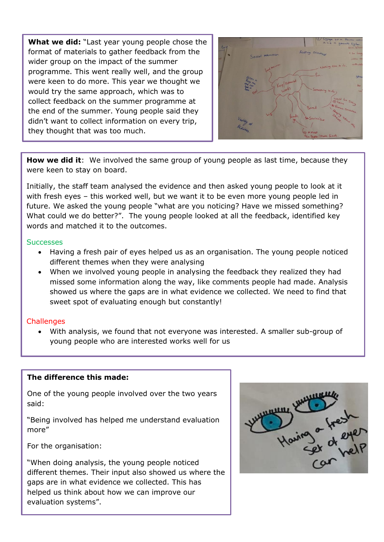**What we did:** "Last year young people chose the format of materials to gather feedback from the wider group on the impact of the summer programme. This went really well, and the group were keen to do more. This year we thought we would try the same approach, which was to collect feedback on the summer programme at the end of the summer. Young people said they didn't want to collect information on every trip, they thought that was too much.



**How we did it**: We involved the same group of young people as last time, because they were keen to stay on board.

Initially, the staff team analysed the evidence and then asked young people to look at it with fresh eyes – this worked well, but we want it to be even more young people led in future. We asked the young people "what are you noticing? Have we missed something? What could we do better?". The young people looked at all the feedback, identified key words and matched it to the outcomes.

#### **Successes**

- Having a fresh pair of eyes helped us as an organisation. The young people noticed different themes when they were analysing
- When we involved young people in analysing the feedback they realized they had missed some information along the way, like comments people had made. Analysis showed us where the gaps are in what evidence we collected. We need to find that sweet spot of evaluating enough but constantly!

#### **Challenges**

• With analysis, we found that not everyone was interested. A smaller sub-group of young people who are interested works well for us

### **The difference this made:**

One of the young people involved over the two years said:

"Being involved has helped me understand evaluation more"

For the organisation:

"When doing analysis, the young people noticed different themes. Their input also showed us where the gaps are in what evidence we collected. This has helped us think about how we can improve our evaluation systems".